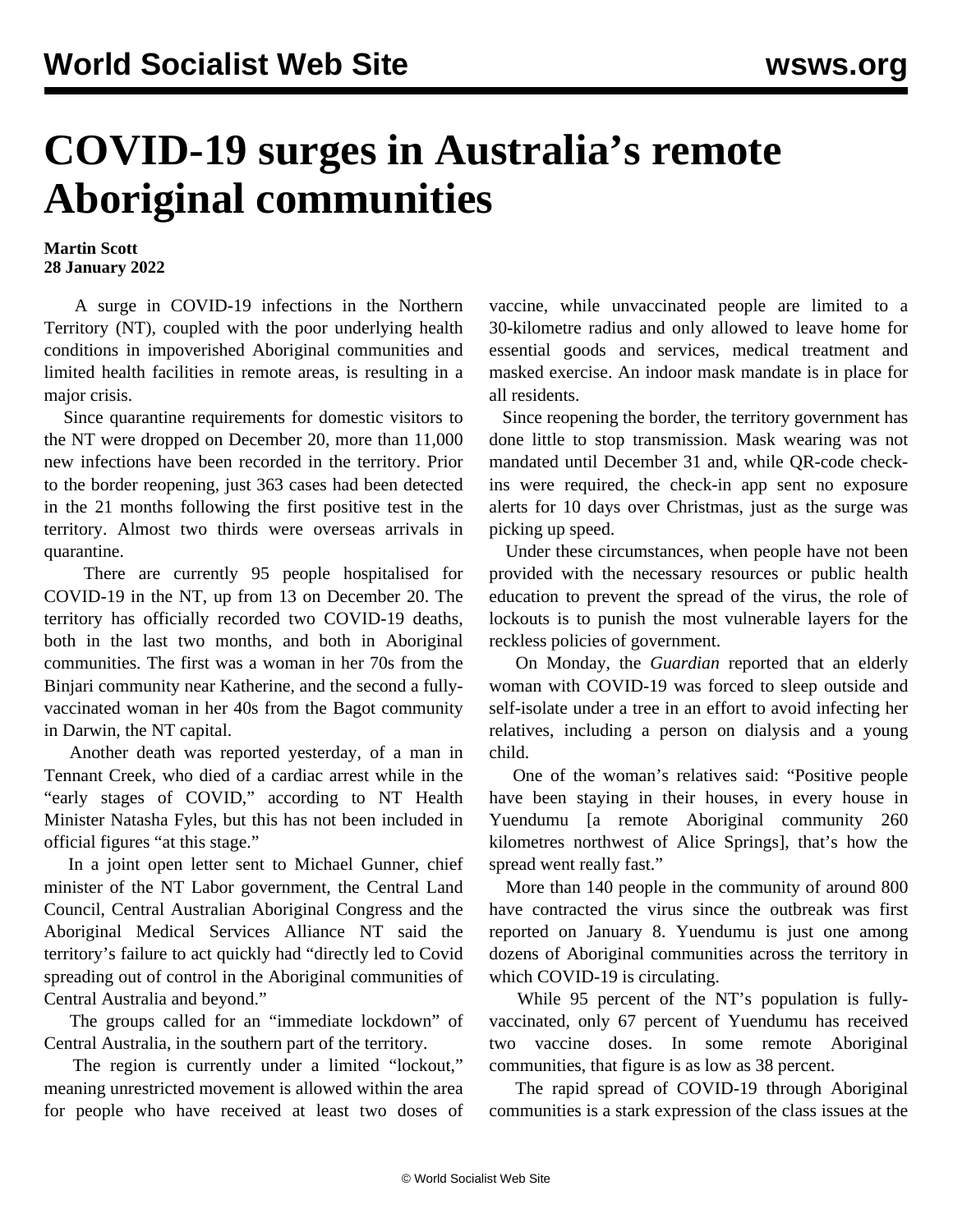## **COVID-19 surges in Australia's remote Aboriginal communities**

## **Martin Scott 28 January 2022**

 A surge in COVID-19 infections in the Northern Territory (NT), coupled with the poor underlying health conditions in impoverished Aboriginal communities and limited health facilities in remote areas, is resulting in a major crisis.

 Since quarantine requirements for domestic visitors to the NT were dropped on December 20, more than 11,000 new infections have been recorded in the territory. Prior to the border reopening, just 363 cases had been detected in the 21 months following the first positive test in the territory. Almost two thirds were overseas arrivals in quarantine.

 There are currently 95 people hospitalised for COVID-19 in the NT, up from 13 on December 20. The territory has officially recorded two COVID-19 deaths, both in the last two months, and both in Aboriginal communities. The first was a woman in her 70s from the Binjari community near Katherine, and the second a fullyvaccinated woman in her 40s from the Bagot community in Darwin, the NT capital.

 Another death was reported yesterday, of a man in Tennant Creek, who died of a cardiac arrest while in the "early stages of COVID," according to NT Health Minister Natasha Fyles, but this has not been included in official figures "at this stage."

 In a joint open letter sent to Michael Gunner, chief minister of the NT Labor government, the Central Land Council, Central Australian Aboriginal Congress and the Aboriginal Medical Services Alliance NT said the territory's failure to act quickly had "directly led to Covid spreading out of control in the Aboriginal communities of Central Australia and beyond."

 The groups called for an "immediate lockdown" of Central Australia, in the southern part of the territory.

 The region is currently under a limited "lockout," meaning unrestricted movement is allowed within the area for people who have received at least two doses of vaccine, while unvaccinated people are limited to a 30-kilometre radius and only allowed to leave home for essential goods and services, medical treatment and masked exercise. An indoor mask mandate is in place for all residents.

 Since reopening the border, the territory government has done little to stop transmission. Mask wearing was not mandated until December 31 and, while QR-code checkins were required, the check-in app sent no exposure alerts for 10 days over Christmas, just as the surge was picking up speed.

 Under these circumstances, when people have not been provided with the necessary resources or public health education to prevent the spread of the virus, the role of lockouts is to punish the most vulnerable layers for the reckless policies of government.

 On Monday, the *Guardian* reported that an elderly woman with COVID-19 was forced to sleep outside and self-isolate under a tree in an effort to avoid infecting her relatives, including a person on dialysis and a young child.

 One of the woman's relatives said: "Positive people have been staying in their houses, in every house in Yuendumu [a remote Aboriginal community 260 kilometres northwest of Alice Springs], that's how the spread went really fast."

 More than 140 people in the community of around 800 have contracted the virus since the outbreak was first reported on January 8. Yuendumu is just one among dozens of Aboriginal communities across the territory in which COVID-19 is circulating.

 While 95 percent of the NT's population is fullyvaccinated, only 67 percent of Yuendumu has received two vaccine doses. In some remote Aboriginal communities, that figure is as low as 38 percent.

 The rapid spread of COVID-19 through Aboriginal communities is a stark expression of the class issues at the